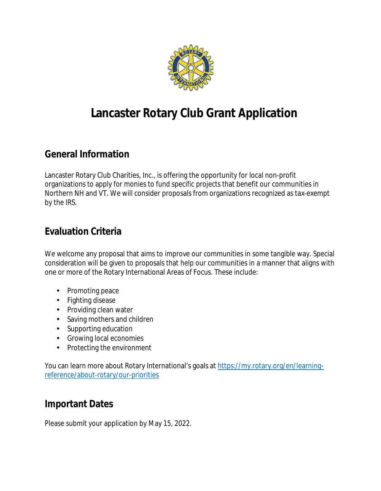

# **Lancaster Rotary Club Grant Application**

### **General Information**

Lancaster Rotary Club Charities, Inc., is offering the opportunity for local non-profit organizations to apply for monies to fund specific projects that benefit our communities in Northern NH and VT. We will consider proposals from organizations recognized as tax-exempt by the IRS.

#### **Evaluation Criteria**

We welcome any proposal that aims to improve our communities in some tangible way. Special consideration will be given to proposals that help our communities in a manner that aligns with one or more of the Rotary International Areas of Focus. These include:

- Promoting peace
- Fighting disease
- Providing clean water
- Saving mothers and children
- Supporting education
- Growing local economies
- Protecting the environment

You can learn more about Rotary International's goals at [https://my.rotary.org/en/learning](https://my.rotary.org/en/learning-reference/about-rotary/our-priorities)[reference/about-rotary/our-priorities](https://my.rotary.org/en/learning-reference/about-rotary/our-priorities)

#### **Important Dates**

Please submit your application by May 15, 2022.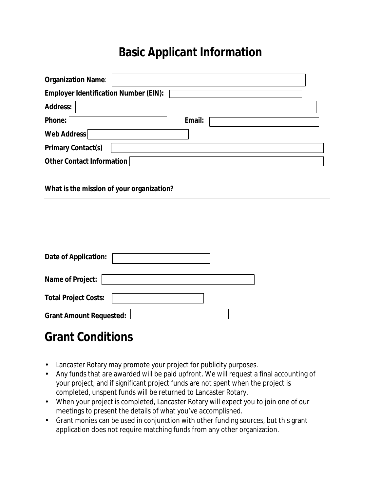## **Basic Applicant Information**

| <b>Organization Name:</b>                    |               |
|----------------------------------------------|---------------|
| <b>Employer Identification Number (EIN):</b> |               |
| <b>Address:</b>                              |               |
| <b>Phone:</b>                                | <b>Email:</b> |
| <b>Web Address</b>                           |               |
| <b>Primary Contact(s)</b>                    |               |
| <b>Other Contact Information</b>             |               |

#### **What is the mission of your organization?**

| <b>Date of Application:</b>    |  |  |
|--------------------------------|--|--|
| <b>Name of Project:</b>        |  |  |
| <b>Total Project Costs:</b>    |  |  |
| <b>Grant Amount Requested:</b> |  |  |

## **Grant Conditions**

- Lancaster Rotary may promote your project for publicity purposes.
- Any funds that are awarded will be paid upfront. We will request a final accounting of your project, and if significant project funds are not spent when the project is completed, unspent funds will be returned to Lancaster Rotary.
- When your project is completed, Lancaster Rotary will expect you to join one of our meetings to present the details of what you've accomplished.
- Grant monies can be used in conjunction with other funding sources, but this grant application does not require matching funds from any other organization.